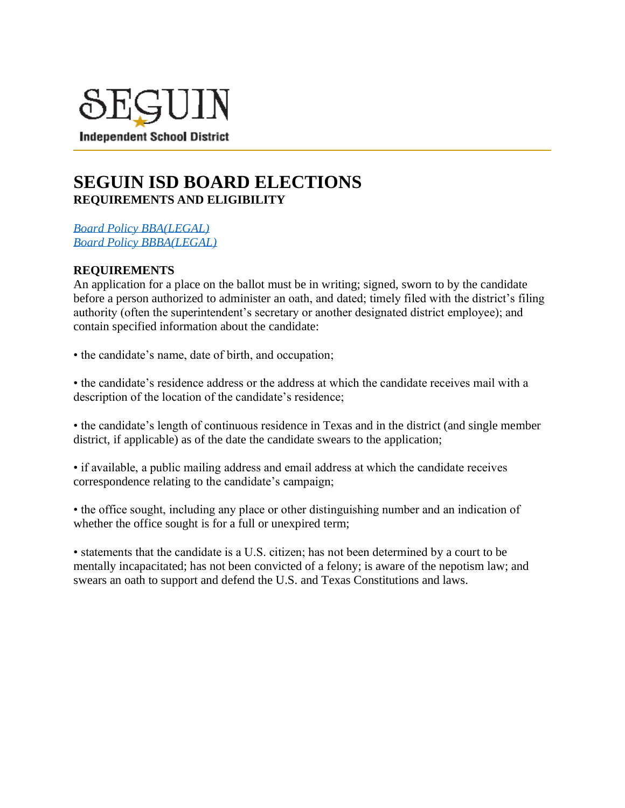

## **SEGUIN ISD BOARD ELECTIONS REQUIREMENTS AND ELIGIBILITY**

*[Board Policy BBA\(LEGAL\)](https://pol.tasb.org/Policy/Download/550?filename=BBA(LEGAL).pdf) [Board Policy BBBA\(LEGAL\)](https://pol.tasb.org/Policy/Download/550?filename=BBBA(LEGAL).pdf)*

## **REQUIREMENTS**

An application for a place on the ballot must be in writing; signed, sworn to by the candidate before a person authorized to administer an oath, and dated; timely filed with the district's filing authority (often the superintendent's secretary or another designated district employee); and contain specified information about the candidate:

• the candidate's name, date of birth, and occupation;

• the candidate's residence address or the address at which the candidate receives mail with a description of the location of the candidate's residence;

• the candidate's length of continuous residence in Texas and in the district (and single member district, if applicable) as of the date the candidate swears to the application;

• if available, a public mailing address and email address at which the candidate receives correspondence relating to the candidate's campaign;

• the office sought, including any place or other distinguishing number and an indication of whether the office sought is for a full or unexpired term;

• statements that the candidate is a U.S. citizen; has not been determined by a court to be mentally incapacitated; has not been convicted of a felony; is aware of the nepotism law; and swears an oath to support and defend the U.S. and Texas Constitutions and laws.